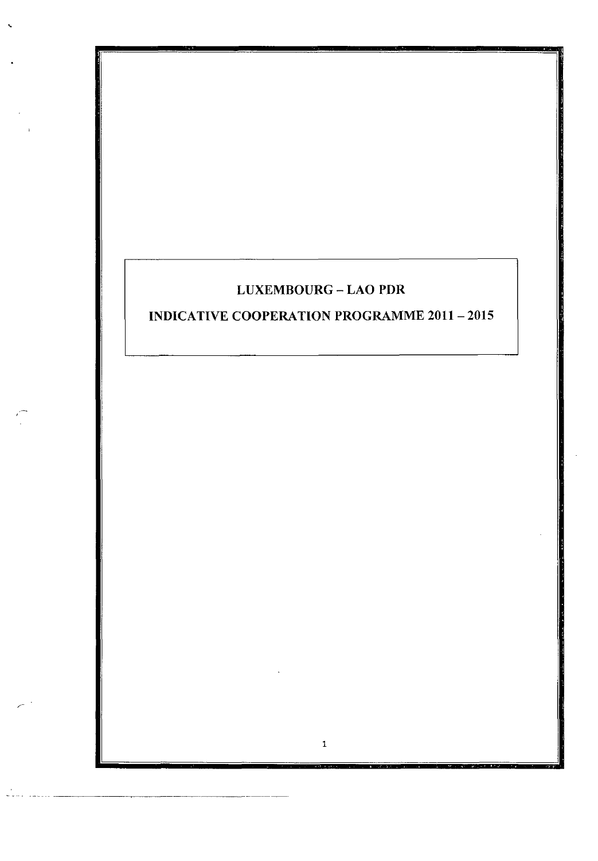## **LUXEMBOURG** - **LAO PDR**

.

/-

# **INDICATIVE COOPERATION PROGRAMME 2011 - 2015**

**1**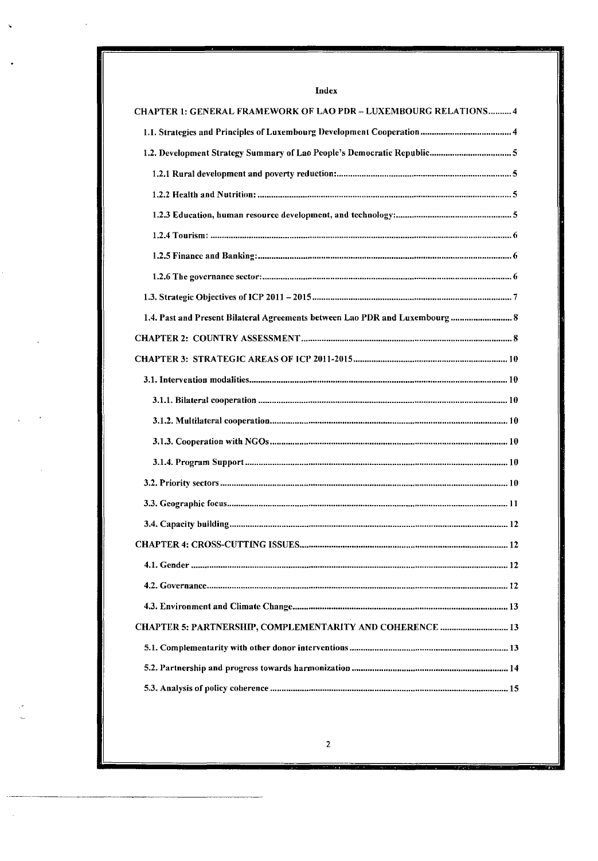| CHAPTER 1: GENERAL FRAMEWORK OF LAO PDR - LUXEMBOURG RELATIONS 4             |
|------------------------------------------------------------------------------|
|                                                                              |
|                                                                              |
|                                                                              |
|                                                                              |
|                                                                              |
|                                                                              |
|                                                                              |
|                                                                              |
|                                                                              |
|                                                                              |
| 1.4. Past and Present Bilateral Agreements between Lao PDR and Luxembourg  8 |
|                                                                              |
|                                                                              |
|                                                                              |
|                                                                              |
|                                                                              |
|                                                                              |
|                                                                              |
|                                                                              |
|                                                                              |
|                                                                              |
|                                                                              |
|                                                                              |
|                                                                              |
|                                                                              |
| CHAPTER 5: PARTNERSHIP, COMPLEMENTARITY AND COHERENCE  13                    |
|                                                                              |
|                                                                              |
|                                                                              |

## Index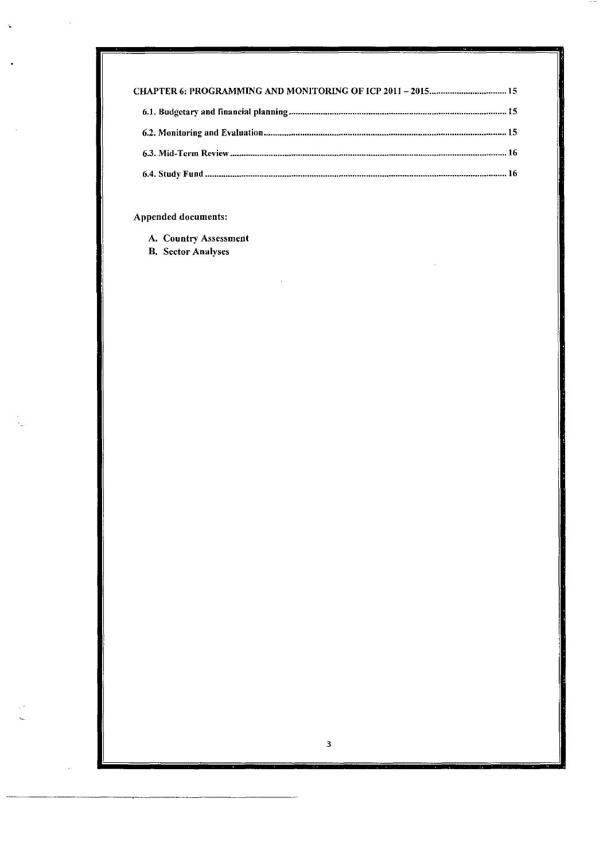| CHAPTER 6: PROGRAMMING AND MONITORING OF ICP 2011 - 2015 15 |  |
|-------------------------------------------------------------|--|
|                                                             |  |
|                                                             |  |
|                                                             |  |
|                                                             |  |

## Appended documents:

- A. Country Assessment
- **B.** Sector Analyses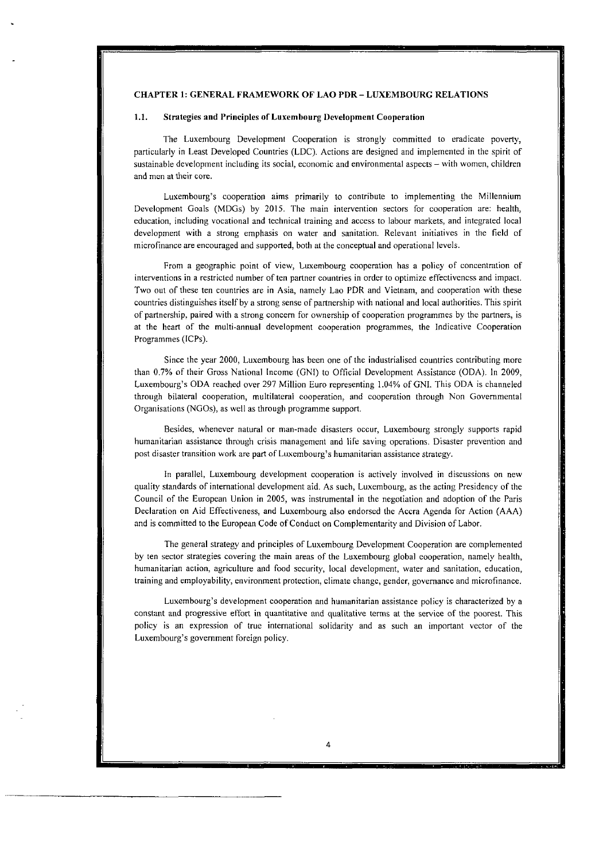## CHAPTER **1:** GENERAL FRAMEWORK **OF** LAO PDR - LUXEMBOURG RELATIONS

#### **1.1.** Strategies and Principles of Luxembourg Development Cooperation

The Luxembourg Development Coopcration is strongly committed 10 eradicate poverty, particularly in Least Developed Countries (LDC). Actions are designed and irnplemented in the spirit of sustainable development including its social, economic and environmental aspects – with women, children and men at their core.

Luxembourg's cooperation aims prirnarily to contribute to implementing ihe Millennium Development Goals (MDGs) by 2015. The main intervention sectors for cooperation are: health, education, including vocational and technical training and access to labour markets, and intcgrated local development with a strong emphasis on water and sanitation. Relevant initiatives in the field of microfinance are encouraged and supporied, both at the conceptual and operational levels.

From a geographic point of vicw, Luxembourg cooperation has a policy of concentration of interventions in a restricted number of ten pariner countries in order to optimizc effectivencss and impact. Two out of these ten countries are in Asia, narnely Lao PDR and Vietnam, and cooperation with these countries distinguishes itself by a strong sense of partnership with national and local authorities. This spirit of partnership, paired with a strong concern for ownership of cooperation programmes by the partners, is at the heart of the multi-annual development cooperation programmes, the Indicative Cooperation Programmes (ICPs).

Since the year 2000, Luxembourg has been one of the industrialised countries contributing more than 0.7% of their Gross Nationdi Income (GNI) to Official Development Assistance (ODA). In 2009, Luxembourg's ODA reached over 297 Million Euro representing 1.04% of GNI. This ODA is channeled through bilateral cooperation, multilateral cooperation, and cooperation through Non Governmental Organisations (NGOs), as well **as** through programme support.

Besides, whenever natural or man-madc disasters occur, Luxembourg strongly supports rapid humanitarian assistance through crisis management and life saving operations. Disaster prevention and post disaster transition work are part of Luxembourg's humanitarian assistance strategy.

In parallel, Luxembourg development cooperation is actively involved in discussions on new quality standards of international development aid. As such, Luxembourg, **as** the acting Presidency of the Council of the European Union in 2005, was instrumental in the negotiation and adoption of the Paris Declaration on Aid Effectiveness, and Luxembourg also endorsed the Accra Agenda for Action (AAA) and is committed to the European Code of Conduct on Complementarity and Division of Labor.

The general strategy and principles of Luxembourg Development Cooperation are complemented by ten sector strategies covering the main areas of the Luxembourg global cooperation. namely health, humanitarian action, agriculture and food security, local development, water and sanitation, education, training and employability, environment protection, climate changc, gender, governance and microfinance.

Luxembourg's development cooperation and humanitarian assistance policy is characterized by a constant and progressive effort in quantitative and qualitative terms at the service of the poorest. This policy is an expression of true international solidarity and as such an important vector of the Luxembourg's government foreign policy.

4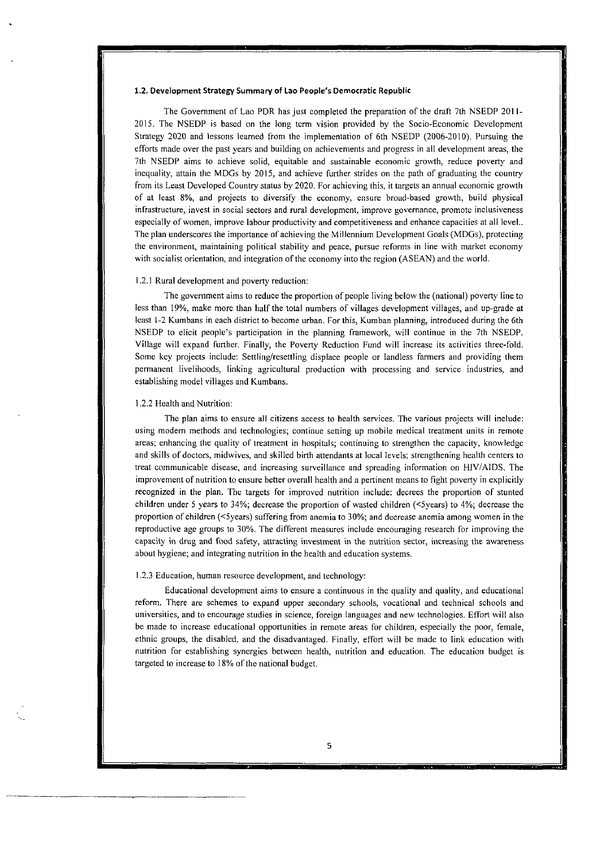#### **1.2. Development Strategy Summary of Lao People's Democratic Republic**

The Government of Lao PDR has just completed the preparation of the draft 7th NSEDP 2011-2015. The NSEDP is based on the long term vision provided by the Socio-Economic Development Strategy 2020 and lessons learned from the implemeniation of 6th NSEDP (2006-2010). Pursuing the efforts made over the **past** years and building on achievements and proçress in al1 dcvclopment areas: the 7th NSEDP aims to achieve solid, equitable and sustainable economic growth, reduce poverty and inequality, attain the MDGs by 2015, and achieve further strides on the path of graduating the country from its Least Developed Country status by 2020. For achieving this, it targets an annual economic growth of ai least **8%,** and projects to diversify the cconomy, ensure broad-based growtli, build physical infrastructure, invest in social sectors and rural development, improve governance, promote inclusiveness especially of women, improve labour productivity and competitiveness and enhance capacities at all level.. The plan underscores the importance of achieving the Millennium Development Goals (MDGs), protecting the environment, maintaining political stability and peace, pursue reforms in line with market economy with socialist orientation, and integration of the economy into the region (ASEAN) and the world.

#### 1.2.1 Rural development and poverty reduction:

The government aims to reduce the proportion of people living below the (national) poverty line to less than 19%, make more than half the total numbers of villages development villages, and up-grade at least 1-2 Kumbans in each district to become urban. For this, Kumban planning, introduccd during the 6th NSEDP to elicit people's participation in the planning framework, will continue in the 7th NSEDP. Village will expand further. Finally, the Poverty Reduction Fund will increasc its activities ihree-fold. Some key projects include: Settling/resettling displace people or landless farmers and providing them permanent livelihoods, linking agricultural production with processing and service industries, and establishing mode1 villages and Kumbans.

#### 1.2.2 Health and Nutrition:

The plan aims to ensure al1 citizens access to health services. The various projects will include: using modern methods and technologies; continue setting up mobile medical treatment units in remote areas; enhancing the quality of treatment in hospitals; continuing to strengthen the capacity, knowledge and skills of doctors, midwives, and skilled birth attendants at local levels; strengthening health centers to treat communicable disease, and increasing surveillance and spreading information on **HiV/AIDS.** The improvement of nutrition to ensure better overall health and a pertinent means to fight poverty in explicitly recognized in the plan. The targcts for improvcd nutrition include: decrees the proportion of stunted children under 5 years to 34%; decrease the proportion of wasted children (<5years) to 4%; decrease the proportion of children (<5years) suffering from anemia to 30%; and decrease anemia among women in the reproductive **age** groups to 30%. The different measures include encouraging research for irnproving the capacity in drug and food safety, attracting investment in the nutrition sector, increasing the awareness about hygiene; and integrating nutrition in the health and education systems.

#### I .2.3 Education, human resource development, and technology:

Educational dcvelopment aims **10** ensure a continuous in the quality and quality, and educational reform. There are schcmes to expand upper secondary schools, vocational and technical schools and universities, and to encourage studies in science, Foreign languages and new technologies. Effort will also be made to increase educational opportunities in remote areas for children, especially the poor, female, ethnic groups, the disabled, and the disadvantaged. Finally, effort will be made to link education with nutrition for establishing synergies between health, nutrition and education. The education budgei is targeted to increase to 18% of the national budget.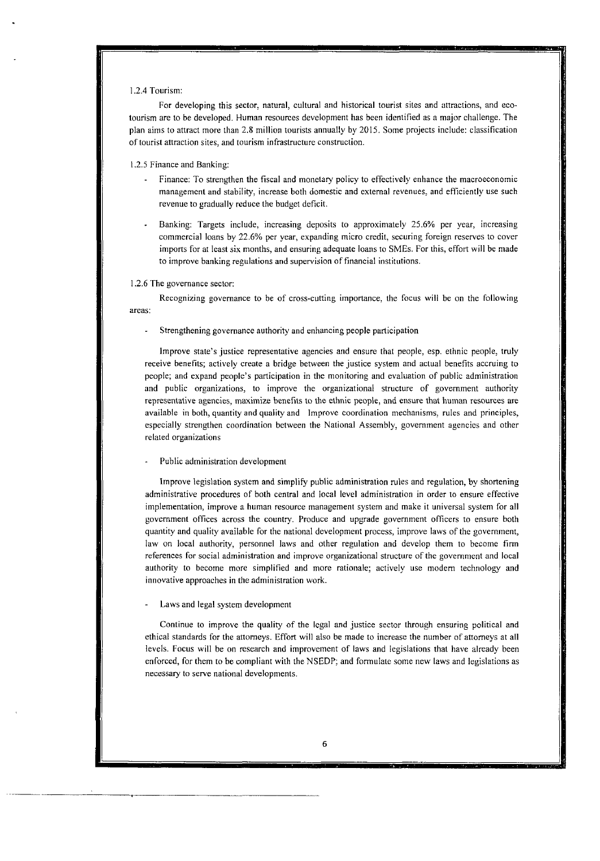#### 1.2.4 Tourism:

For developing this sector, natural, cultural and historical tourist sites and attractions, and ecotourism are to be developed. Human resources development has been identified **as** a major cliallenge. The plan aims to attract more than 2.8 million tourists annually by 2015. Some projects include: classification of tourist attraction sites. and tourism infrastructure construction.

#### 1.2.5 Finance and Banking:

- Finance: To strengthen the fiscal and monetary policy to effectively enhance the macroeconomic management and stability, increase both domestic and cxternal revenues. and efficiently use such revenue to gradually reduce the budget deficit.
- Banking: Targets include, increasing deposits to approximately 25.6% per year, increasing commercial loans by 22.6% per year, expanding micro credit. securing foreign reserves to cover imports for at least six months, and ensuring adequate loans to SMEs. For this, effort will be made to improve banking regulations and supervision of financial institutions. -

#### 1.2.6 The governance sector:

Recognizing governance to be of cross-cutting importance, the focus will be on the following areas:

- Strengthening governance authority and enhancing people participation

lmprove state's justice representative agencies and ensure that people, esp. ethnic people, truly receive benefits; actively create a bridge between the justice sysiem and actual benefits accruing to people; and expand people's participation in the monitoring and evaluation of public administration and public organizations, to improve the organizational structure of government authority representative agencies, maximize benefits to the ethnic people, and ensure that human resources are available in both, quantity and quality and lmprove coordination mechanisms, rules and principles. especially strengthen coordination between the National Assembly, government agencies and other relaied organizaiions

#### Public administration development

lmprove legislation system and simplify public administration rules and regulation, by shortening administrative procedures of both central and local level administration in order to ensure effective implementation, improve a human resource management system and make it universal system for al1 government offices across the country. Produce and upgrade government officcrs to ensure both quaritity and quality available for the national development process, improve laws of the government, law on local authority, personnel laws and other regulation and develop them to become firm references for social administration and improve organizational structure of the government and local authority to become more simplified and more rationale; actively use modern technology and innovative approaches in the administration work.

#### Laws and legal system development

Continue **to** improve the quality of the legal and justice sector through ensuring political and ethical standards for the attorneys. Effort will also be made to increase the number of attorneys at al1 levels. Focus will be on research and improvement of Iaws and legislations that have already been enforced, for them to be compliant wiih the NSEDP; and formulatc some new laws and legislations **as**  necessary to serve national developments.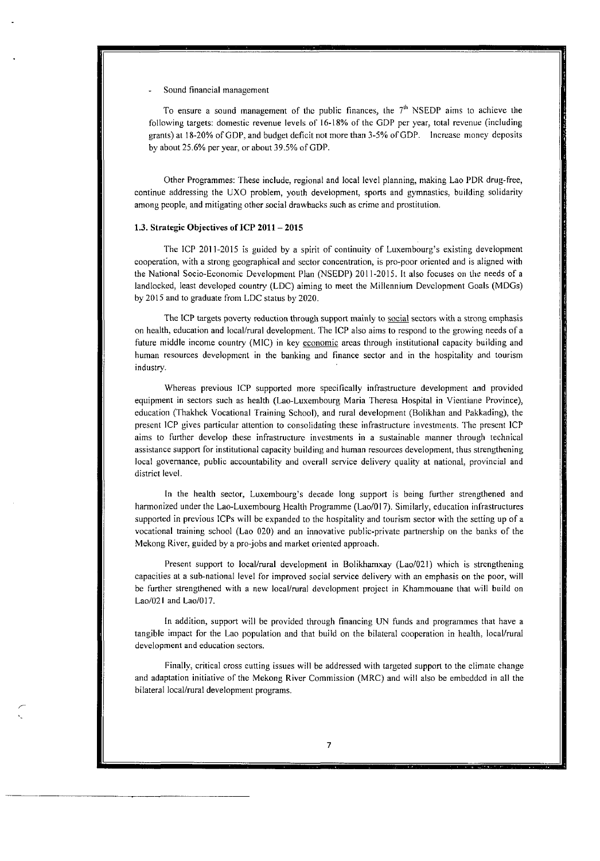#### - Sound financial management

To ensure a sound management of the public finances, the  $7<sup>th</sup>$  NSEDP aims to achieve the following targets: domestic revenue levels of 16-18% of the GDP per year, total revenue (including grants) **at** 18.20% of GDP, and budget deficit not more than 3-5% ofGDP. lncrease money deposits by about 25.6% per year, or about 39.5% of GDP.

Other Programmes: These include, regional and local level planning, making Lao PDR drug-free, continue addressing the UXO problem, youth development, **sports** and gymnastics, building solidarity among people: and mitigating other social drawbacks such **as** crime and prostitution.

#### **1.3. Strategic** Objectives **of ICP 2011** - **<sup>2015</sup>**

The ICP 2011-2015 is guided by a spirit of continuity of Luxembourg's existing development cooperation, with a strong geographical and sector concentration, is pro-poor oriented and is aligned with the National Socio-Economic Development Plan (NSEDP) 2011-2015. It also focuses on the needs of a landlocked, least developed country (LDC) aiming to meet the Millennium Development Goals (MDGs) by 2015 and to graduate from LDC status by 2020.

The ICP targets poverty reduction through support mainly to social sectors with a strong emphasis on health, education and local/rural development. The ICP also aims to respond to the growing needs of a future middle income country (MIC) in **key** economic arcas through institutional capacity building and human resources development in the banking and finance sector and in the hospitality and tourism industry.

Whereas previous ICP supported more specifically infrastructure development and provided equipment in sectors such as health (Lao-Luxembourg Maria Theresa Hospital in Vientiane Province), education (Thakhek Vocational Training School), and rural development (Bolikhan and Pakkading), the present ICP gives particular attention to consolidating these infrastructure investments. The present ICP aims to further develop these infrastructure investments in a sustainable manner through technical assistance support for institutional capacity building and human resources development, thus strengthening local governance, public accountabiliry and overall service delivery quality at national, provincial and district level.

In the health sector, Luxembourg's decade long support is being further strengthened and harmonized under the Lao-Luxembourg Health Programme (Lao/017). Similarly, education infrastructures supported in previous lCPs will be expanded to the hospitality and tourism sector with the setting up of a vocational training school (Lao 020) and an innovative public-private partnership on the banks of the Mekong River, guided by a pro-jobs and market oriented approach.

Present support to local/rural development in Bolikhamxay (Lao/021) which is strengthening capacities at a sub-national level for improved social service delivery with an emphasis on the poor, will be further strengthened with a new local/rural development project in Khammouane that will build on  $Lao/021$  and  $Lao/017$ .

In addition, support will be provided through financing UN funds and programmes that have a tangible impact for the Lao population and that build on the bilateral cooperation in health, local/rural development and education sectors.

Finally, critical cross cutting issues will be addressed with targeted support to the climate change and adaptation initiative of' thc Mckong River Commission (MRC) and will also be embeddcd in **a11** the bilateral local/rural development programs.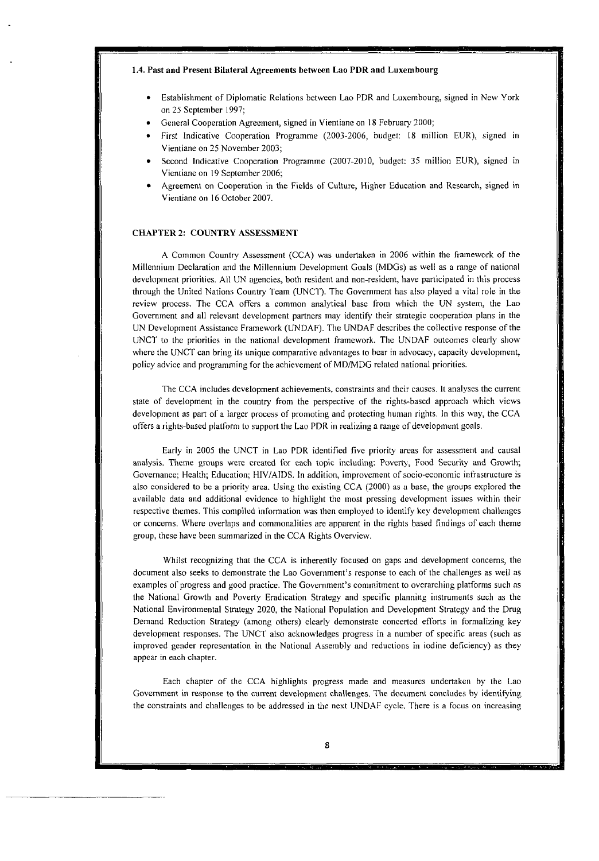#### 1.4. Past and Present Bilateral Agreements between Lao PDR and Luxembourg

- Establishment of Diplomatie Relations bctween Lao PDR and Luxembourg, signed in New York on 25 Septemher 1997;
- General Cooperation Agreement, signed in Vientiane on 18 February 2000;
- First Indicative Cooperation Programme (2003-2006, budget: 18 million EUR), signed in Vientiane on 25 November 2003;
- Second indicative Cooperation Programme (2007-2010, budget: 35 million EUR), signed in Vientiane on 19 September 2006;
- Agreement on Cooperation in the Fields of Culture, Higher Education and Research. signed in Vientiane on 16 Octoher 2007.

### **CHAPTER 2: COUNTRY ASSESSMEN'I**

**A** Cornmon Country Assessment (CCA) was undertaken in 2006 within the framework of the Millennium Declaration and the Millennium Development Goals (MDGs) as well as a range of national development priorities. All UN agencies, both resident and non-resident, have participated in this process through the United Nations Country Team (UNCT). The Government lias also played a vital role in the review process. The CCA offers a common analytical base from which the UN system, the Lao Government and all relevant development partners may identify their strategic cooperation plans in the UN Development Assistance Framework (UNDAF). The UNDAF describes the collective response *of* the UNCT to the priorities in the national development framework. The UNDAF outcomes clearly show where the UNCT can bring its unique comparative advantages to bear in advocacy, capacity development, policy advice and programming for the achievement of MD/MDG related national priorities.

The CCA includes development achievements, constraints and their causes. It analyses the current state of development in the country from the perspective of the rights-based approach which views development as part of a larger process of promoting and protecting human rights. In this way, the CCA offers a rights-based platform to support the Lao PDR in realizing a range of development goals.

Early in 2005 the UNCT in Lao PDR identified five priority areas for assessment and causal analysis. Theme groups were created for each topic including: Poverty, Food Security and Growth; Governance; Health; Education; HIV/AIDS. in addition, improvement of socio-economic infrastructure is also considered to be a priority area. Using the existing CCA (2000) as a base, the groups explored the availahle data and additional evidence to highlight the most pressing development issues within their respective themes. This compiled information was then employed to identify key development challenges or concerns. Where overlaps and commonalities are apparent in the rights based findings of each theme group, these have been summarized in the CCA Rights Overview.

Whilst recognizing that the CCA is inherently focused on gaps and development concerns, the document also seeks to demonstrate the Lao Covernment's response to cach of the challenges **as** well as examples of progress and good practice. The Covernment's cornmitment to overarcliing platforms such **as**  the National Growth and I'overty Eradication Strategy and specific planning iiistrumenls such **as** the National Environmental Strategy 2020, the Naiional Population and Development Stratcgy and the Drug Deniand Reduction Strategy (among others) clearly demonstrate concerted efforts in forrnalizing key development responses. The UNCT also acknowledges progress in a numher of specific areas (such **as**  improved gender representation in the National Assembly and reductions in iodine deficiency) as they appear in each chapter.

Each chapter of the CCA highlights progress made and measures undertaken by the Lao Government in response to the current development challenges. The document concludes by identifying the constraints and challenges to be addressed in the next UNDAF cycle. There is a focus on increasing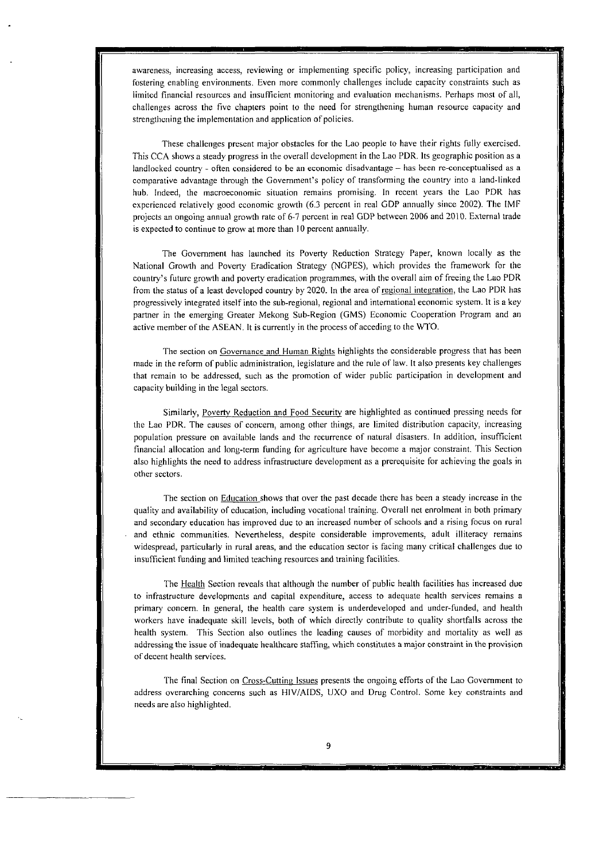awareness, increasing access, reviewing or implementing specific policy, increasing parlicipation and fostering enabling environments. Even more commonly challenges include capacity constraints such **as**  limited financial resources and insufficient monitoring and evaluation mechanisms. Perhaps most of all, challenges across the five chapters point to the need for strengthciiing human resource capacity and strengthening the implementation and application of policies.

These challenges present major obstacles for the Lao people to have their rights fiilly exercised. This CCA shows a steady progress in the overall development in the Lao PDR. Its geographic position as a landlocked country - often considered to be an economic disadvantage - has been re-conceptualised as **<sup>a</sup>** comparative advantage through the Government's policy of transforming the country into a land-linked hub. Indeed, the macroeconomic situation remains promising. In recent years the Lao PDR has experienced relatively good economic growth (6.3 percent in real GDP annually since 2002). The IMF projects an ongoing annual growth rate of 6-7 percent in real GDP between 2006 and 2010. External trade is expected to continue to grow at more than 10 percent annually.

The Government has launched its Poverty Reduction Strategy Paper, known locally as the National Growth and Poverty Eradication Stratcgy WGPES), whicli provides the framework for the country's future growth and poverty eradication programmes: wiih the overall aim of freeing the Lao PDR from the status of a least devcloped country by 2020. In the area of regional integration, the Lao PDR has progressivcly iniegrated itself into the sub-regional, regional and international economic system. It is a key partner in the emerging Greater Mekong Sub-Region (GMS) Economic Cooperation Program and an active member of the ASEAN. It is currently in the process of acceding to the WTO.

The section on Governance and Human Rights highlights the considerable progress that has been made in the reform of public administration, legislature and the rule of law. It also presents key challenges that remain to be addressed, such **as** the promotion of wider public participation in development and capacity building in the legal sectors.

Similarly, Poverty Reduction and Food Security are highlighted as continued pressing needs for the Lao PDR. The causes of concern, among other things, are limited distribution capacity, increasing population pressure on available lands and the recurrence of natural disasters. In addition, insufficient financial allocation and long-term funding for agriculture have become a major constraint. This Section also highlights the need to address infrastruciure development as **a** prerequisite for achieving the goals in other sectors.

The section on **Education** shows that over the past decade there has been a steady increase in the quality and availability of education, including vocational training. Overall net enrolment in both primary and secondary education has improved due to an increased nurnber of schools and a rising focus on rural and ethnic comrnunities. Nevertheless, despite considerable improvements, adult illiteracy remains widespread, particularly in rural areas, and the education sector is facing many critical challenges due **10**  insufficient funding and limited teaching resources and training facilities.

The Health Section reveals that although the number of public health facilities has increased due to infrastructure developments and capital expenditure, access to adequate health services remains a primary concern. In general, the health care system is underdevelopcd and under-funded, and health workers have inadequate skill levels, both of which directly contribute to quality shortfalls across the health system. This Section also outlines the leading causes of morbidity and mortality as well **as**  addressing the issue of inadequate healthcare staffing, which constitutes a major constraint in the provision of decent health services.

The final Section on Cross-Cutting Issues presents the ongoing efforts of the Lao Government to address overarching concerns such as HIVIAIDS, UXO and Drug Control. Some key constraints and needs are also highlighted.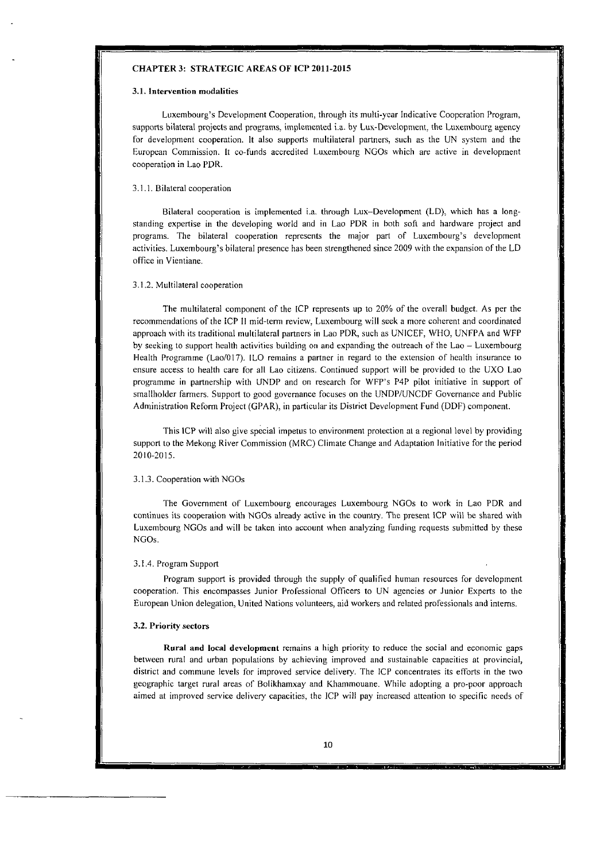#### **CHAPTER 3: STRATEGIC AREAS OF ICP 2011-2015**

#### **3.1.** Intervention mudalities

Luxembourg's Development Cooperation, through its multi-ycar Indicative Cooperation Program, supports bilateral projects and programs, implemented i.a. by Lux-Development, the Luxembourg agency for development cooperatioii. **It** also supports multilateral partners, such **as** the UN system and the European Commission. It co-funds accredited Luxembourg NGOs which are active in development cooperation in Lao PDR.

#### 3.1.1. Bilateral cooperation

Bilateral cooperation is implemented i.a. through Lux-Developmeni (LD): which has a longstanding expertise in the dcveloping world and in Lao PDR in both sort and hardware project and programs. The bilateral cooperation represents the major part of Luxembourg's development activities. Luxembourg's bilateral presence has been strengthened since 2009 with the expansion of the LD office in Vieniiane.

#### 3.1.2. Multilateral cooperation

The multilateral component of the ICP represents up to 20% of the overall budget. As per the recommendations of the ICP II mid-term review, Luxembourg will seek a more coherent and coordinated approach with its traditional multilateral partners in Lao PDR, such as UNICEF, WHO, UNFPA and WFP by seeking io support health activities building on and expanding the ouireach of the Lao - Luxembourg Health Programme (Lao/017). ILO remains a partner in regard to the extension of health insurance to ensure access to health care for al1 Lao citizens. Continued support will be provided 10 the UXO Lao programme in partnership with LJNDP and on research for WFP's P4P pilot initiative in support of smallholder farmers. Support to good governance focuses on the UNDP/UNCDF Governance and Public Administration Reform Project (GPAR), in particular its District Development Fund (DDF) component.

This ICP will also give special impetus to environment protection at a regional level by providing support to the Mekong River Commission (MRC) Climate Change and Adaptation Initiative for the period 2010-2015.

#### 3.1.3. Cooperation with NGOs

The Government of Luxembourg encourages Luxembourg NGOs ta work in Lao PDR and continues its cooperation with NGOs already active in the country. The present ICP will be shared with Luxembourg NGOs and will be taken into account when analyzing funding requests submitted by these NGOs.

#### 3.1.4. Program Support

Program support **is** provided through the supply of qualified human resourccs for development cooperation. This encompasses Junior Professional Officers to UN agcncies or Junior Experts to the Europcan Union delegation, United Nations volunteers, aid workers and related professionals and interns.

#### **3.2.** Prioriîy sectors

Rural and local development remains a high priority to reduce the social and economic gaps between rural and urban populations by achicving improved and sustainable capaçities at provincial, district and commune levels for improved service delivery. The ICP concentrates its efforts in the two geographic target rural areas of Bolikhamxay and Khammouane. While adopting a pro-poor approach aimed **at** improved service delivery capacities, the ICP will pay increased attention ta specific needs of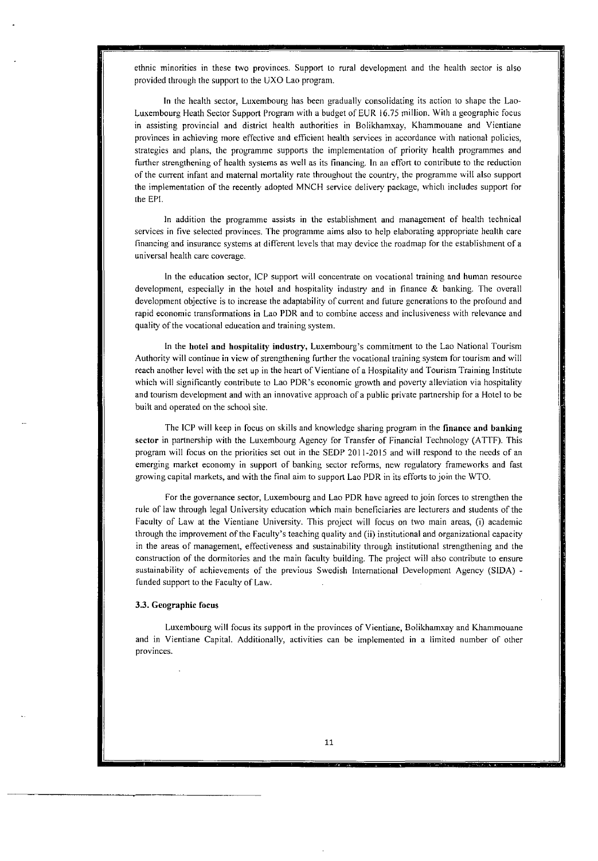ethnic minorities in these two provinces. Support to rural development and the health sector is also provided through the support to the UXO Lao program.

In the health sector, Luxembourg **lias** been gradually consolidating its action to sliape the Lao-Luxembourg Heath Sector Support Program wiih a budget of EUR 16.75 million. With a geographic focus in assisting provincial and district health authorities in Bolikhamxay, Khammouane and Vientiane provinces in achieving more effective and efficient health services in accordance with national policies, strategies and plans, the programme supports the implementation of prioriiy health programmes and further strengthening of health systems as well as its financing. In an effort to contribute to the reduction of the current infant and materna1 mortality rate throughout the country, the programme will also support the implementation of the recently adopted MNCH service delivery package, whicli includes support for the EH.

In addition the programme assists in the establishment and management of health technical services in five selected provinces. The programme aims also to help elaborating appropriate health care financing and insurance systems at different levels that may device the roadmap for the establishment of a universal health care coverage.

In the education sector, ICP support will concentrate on vocational training and human resource development, especially in the hotel and hospitality industry and in finance & banking. The overall development objective is to increase the adapiability of current and future generations to the prolound and rapid economic transformations in Lao PDR and to combine access and inclusiveness with relevance and quality of the vocational education and training system.

In the hotel and hospitality industry, Luxembourg's commitment to the Lao National Tourism Authority will continue in view of strengthening further the vocational training system for tourism and will reach anoiher level with the set up in the heart of Vientiane of a Hospitality and Tourism Training lnstitute which will significantly contribute to Lao PDR's economic growth and poverty alleviation via hospitality and tourism development and with an innovative approach of a public private partnership for a Hotel 10 be built and operated on the school site.

The ICP will keep in focus on skills and knowledge sharing program in the finance and banking sector in partnership with the Luxembourg Agency for Transfer of Financial Technology (ATTF). This program will focus on the prioritics set out in the SEDP 201 1-2015 and will respond to the necds of an emerging market economy in support of banking sector reforms, new regulatory frameworks and fast growing capital markets, and with the final aim to support Lao PDR in its efforts tojoin the WTO.

For the governance sector, Luxembourg and Lao PDR havc agreed tojoin forces to strengthen the rule of law through legal University education which main beneficiaries are lecturers and siudents of the Faculty of Law at the Vientiane University. This project will focus on two main areas, (i) academic ihrough thc improvement of the Faculty's teaching quality and (ii) institutional and organizational capacity in the areas of management, effectiveness and sustainability through institutional strengthening and the construction of the dormitories and the main faculty building. The project will also contribute to ensure sustainability of achievements of the previous Swedish International Development Agency (SIDA) funded support to the Faculty of Law.

#### **3.3.** Geographic focus

Luxembourg will focus its support in the provinces of Vientiane, Bolikhamxay and Khammouane and in Vientiane Capital. Additionally, activities can be implcmented in **a** limited nurnber of otlier provinces.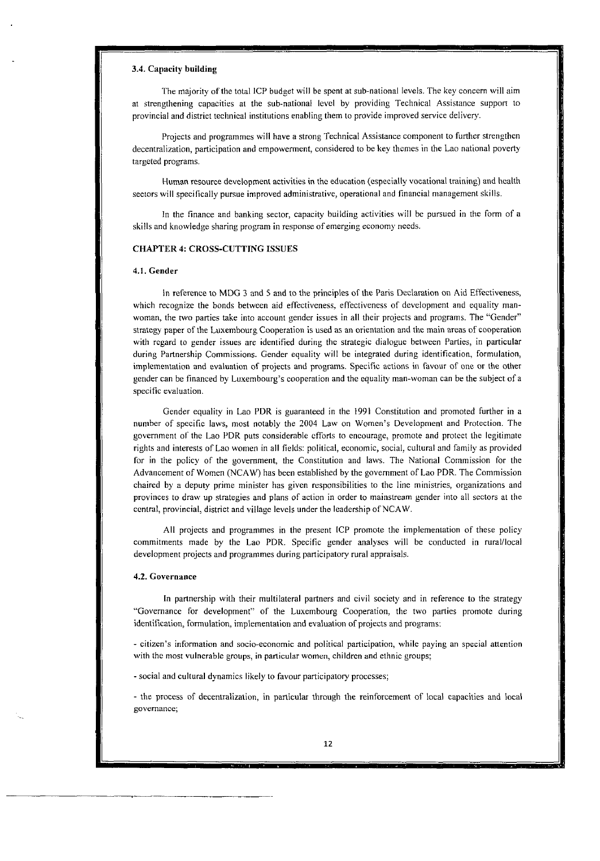#### *3.4.* **Capacity building**

The majority of the total ICP budget will be spent at sub-national levels. The key concern will aim at strengtliening capacities **ai** the sub-national levcl by providing Technical Assistance support to provincial and district technical institutions enabling them to providc improved service delivery.

Projects and programmes will have a strong Technical Assistance component to further strengthen decentralization, participation and empowerment, considered to be key themes in the Lao national poverty targeted programs.

Human resource development activities in the education (especially vocational training) and hcalth sectors will specifically pursue improved administrative, operational and financial management skills.

In the finance and banking sector, capacity building activities will be pursued in the form of a skills and knowledge sharing program in response of emerginç economy needs.

## **CHAPTER 4: CROSS-CUTïMG ISSUES**

#### **4.1. Gender**

In reference **IO** MDG 3 and 5 and to the principles of the Paris Declaration on Aid Effectiveness, which recognize the bonds between aid effectiveness, effectiveness of development and equality manwoman, the two parties take into account gender issues in **al1** their projeçts and programs. The "Gender" strategy paper of the Luxembourg Cooperation is used as an orientation and the main areas of cooperation with regard to gender issues are identified during the strategic dialogue between Parties, in particular during Partnership Commissions. Cender equality will be integrated during identification, formulation, implementation and evaluation of projects and programs. Specific actions in favour of one or the other gender can be financed by Luxembourg's cooperation and the equality man-woman can be the subject of a specific evaluation.

Gender equality in Lao PDR **is** guaranteed in the 1991 Constitution and promoted further in a number of specific laws, most notably the 2004 Law on Women's Developnient and Protection. The government of the Lao PDR puts considerable efforts to encourage, promote and protect the legitimate rights and interests of Lao women in al1 fields: political, economic, social, cultural and family **as** provided for in the policy of the government, the Constitution and laws. The National Commission for the Advancement of Women (NCAW) has been established by the government of Lao PDR. The Commission chaired by a deputy prime minister has given responsibilities to the line ministries, organizations and provinces to draw up strategies and plans of action in order to mainstream gender into al1 sectors at the central, provincial, district and village levels under the leadership of NCAW.

Al1 projects and programmes in the present ICP promote the implementation of these policy commitments made by the Lao PDR. Specific gender analyses will be conducted in rural/local development projects and programmes during participatory rural appraisals.

#### **4.2. Governance**

In partnership with their multilateral partners and civil society and in reference to the strategy "Governance for development" of the Luxembourg Cooperation, the two parties promote during identification, formulation, implementation and evaluation of projects and programs:

- citizen's information and socio-economic and political participation, while paying an special attention with the most vulnerable groups, in particular women, children and ethnic groups;

- social and cultural dynamics likely to favour participatory processes;

- the process of decentraliration, in particular through **the** reinforcement of local capacities and local governance;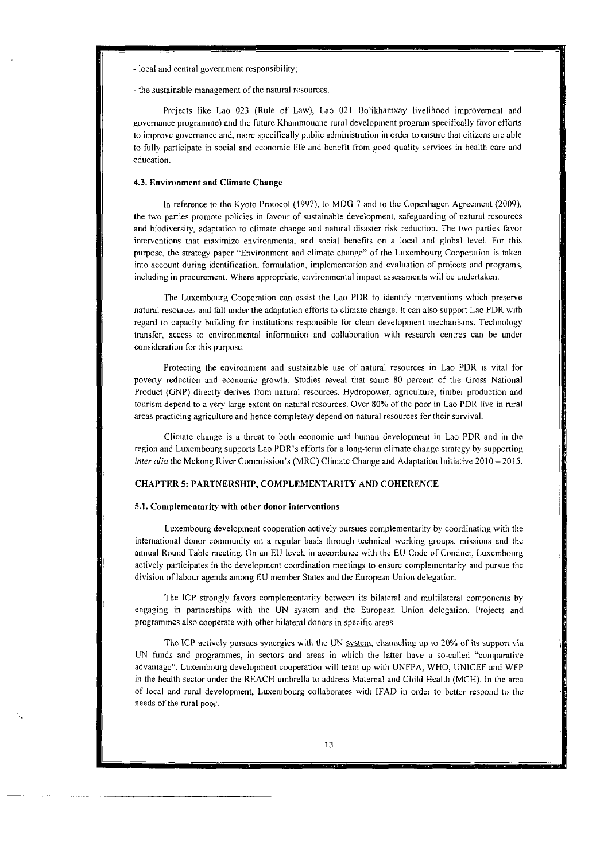- local and central government responsihility;

- the sustainable management of the natural resources.

Projects like Lao 023 (Rule of Law), Lao 021 Bolikhamxay livelihood improvement and governance programme) and the future Khammouane rural development program specifically favor efforts to improve governance and, more specifically public administration in order to ensure that citizens are able to fully participate in social and economic lire and henefit from good quality services in hcalth care and education.

## **4.3. Environment and Climate Changc**

In reference to the Kyoto Protocol (1997), to MDG 7 and to the Copenhagen Agreement (2009), the two parties promote policies in favour of sustainable development, safeguarding of natural resources and hiodiversity, adaptation to climate change and natural disaster risk reduction. The two parties favor interventions that maximize environmental and social henefits on a local and global level. For this purpose, the strategy paper "Environment and climate change" of the Luxembourg Cooperation is taken into account during identification, formulation, implementation and evaluation of projccts and programs, including in procurement. Where appropriate, environmental impact assessments will be undertaken.

The Luxembourg Cooperation can assist the Lao PDR to identify interventions which preserve natural resources and fall under the adaptation efforts to climate change. It can also support Lao PDR with regard to capacity building for institutions responsible for clean development mechanisms. Technology transfer, access to environmental information and collaboration with research centres can be under consideration for this purpose.

Protecting thc environment and sustainahle use of natural resources in Lao PDK is vital for poverty reduction and economic growth. Studies reveal that some **80** percent of the Gross National Product (GNP) directly derives from natural resources. Hydropower, agriculture, timher production and tourism depcnd to **a** very large extent on natural resources. Over 80% of the poor in Lao PDR live in rural areas practicing agriculture and hence completely depend on natural resources for their survival.

Climate change is a threat to both economic and human development in Lao PDR and in the region and Luxembourg supports Lao PDR's efforts for a long-term climate change strategy by supporting *inier dia* the Mekong River Commission's (MRC) Climate Change and Adaptation Initiative 2010 - <sup>201</sup>*5.* 

## **CHAPTER 5: PARTNERSHIP, COMPLEMENTARITY AND COHERENCE**

#### **5.1. Complementarity with other donor interventions**

Luxembourg development cooperation actively pursues complementarity by coordinating with the international donor community on **a** regular hasis through technical working groups, missions and the annual Round Table meeting. On an EU level; in accordance with the EU Code of Conduct, Luxembourg actively participates in the development coordination meetings to ensure complementarity and pursue the division of labour agenda among EU member States and the European Union delegation.

The ICP strongly favors complementarity between its bilateral and multilateral components by engaging in partnerships with the UN system and the European Union delegation. Projects and programmes also cooperate with other hilateral donors in specific areas.

The ICP actively pursues synergies with the UN system, channeling up to 20% of its support via UN funds and programmes, in sectors and areas in which the latter have **a** so-called "comparative advantage". Luxembourg development cooperation will team up with UNFPA, WHO, UNICEF and WFP in the health sector under the REACH umhrella to address Materna1 and Child Healtli (MCH). In the area of local and rural development, Luxembourg collahorates with IFAD in order to hetter respond to the needs of the rural poor.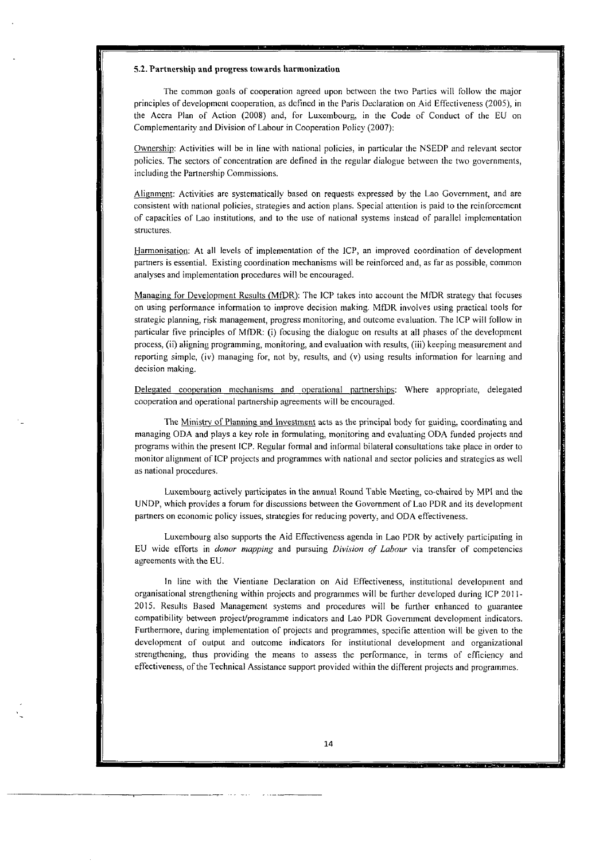#### 5.2. Partnership and progress towards harmonization

The common goals of cooperation agreed upon between the two Parties will follow the major principles of development cooperation, as defined in the Paris Declaration on Aid Effectiveness (2005), in the Accra Plan of Action (2008) and, for Luxembourg, in the Code of Conduct of the EU on Complementarity and Division of Labour in Cooperation Policy (2007):

Ownership: Activities will be in line with national policies, in particular the NSEDP and relevant sector policies. The sectors of concentration are defined in the regular dialogue between the two governments, including the Partnership Commissions.

Alignment: Activities are systematically based on requests expressed by the Lao Government, and are consistent with national policies, strategies and action plans. Special attention is paid to the reinforcement of capacities of Lao institutions, and to the use of national systems insicad of parallel implcmentation structures.

Harmonisation: At al1 levels of implementation of the ICP, an improved coordination of developmeni partners is essential. Existing coordination mechanisms will be reinforced and. as far as possible, common **analyses** and implementation procedures will be encouraged.

Managing for Development Results (MfDR): The ICP takes into account the MfDR strategy that focuses on using performance information io improve decision making. MtDR involves using practical tools for strategic planning, risk management, progress monitoring, and outcome evaluation. The ICP will follow in particular five principles of MfDR: (i) focusing the dialogue on results at **al1** phases of the development process, (ii) aligning programming, monitoring, and evaluation with results, (iii) keeping measurement and reporting simple, (iv) managing for, not by, results, and (v) using results information for learning and decision making.

Delegated cooperation mechanisms and operational partnerships: Where appropriate, delegated cooperation and operational partnership agreements will be encouraged.

The Ministry of Planning and Investment acts as the principal body for guiding, coordinating and managing ODA and plays a key role in formulating, monitoring and evaluating ODA funded projects and programs within the preseni ICP. Regular formal and informal bilateral consultations take place in order to monitor aligiiment of ICP projects and programmes with national and sector policies and strategics **as** well as national procedures.

Luxembourg actively participates in the annual Round Table Meeting, co-chaired by MPI and the UNDP, which provides a foruni for discussions between the Governmcnt of Lao PDR and **its** development partners on economic policy issues, strategies for reducing poverty, and ODA effectiveness.

Luxembourg also supports the Aid Effectiveness agenda in Lao PDR by actively participating in EU wide efforts in *donor nmpping* and pursuing *Division of Labour* via transfer of competencies agreements with the EU.

In line with the Vientiane Declaration on Aid Effectiveness, institutional development and organisational strengthening within projects and programmes will be further developed during ICP 201 1- 2015. Results Based Management syçtems and procedures will be further enhanced to guarantee compatibility between project/programme indicators and Lao PDR Government development indicators. Furthemore, during implementation of projects and programnies, specific attention will be given to the development of output and outcome indicators for institutional development and organizational strengthening, thus providing the means to assess the performance, in terms of cfficiency and effectiveness, of the Technical Assistance support provided within the different projects and programmes.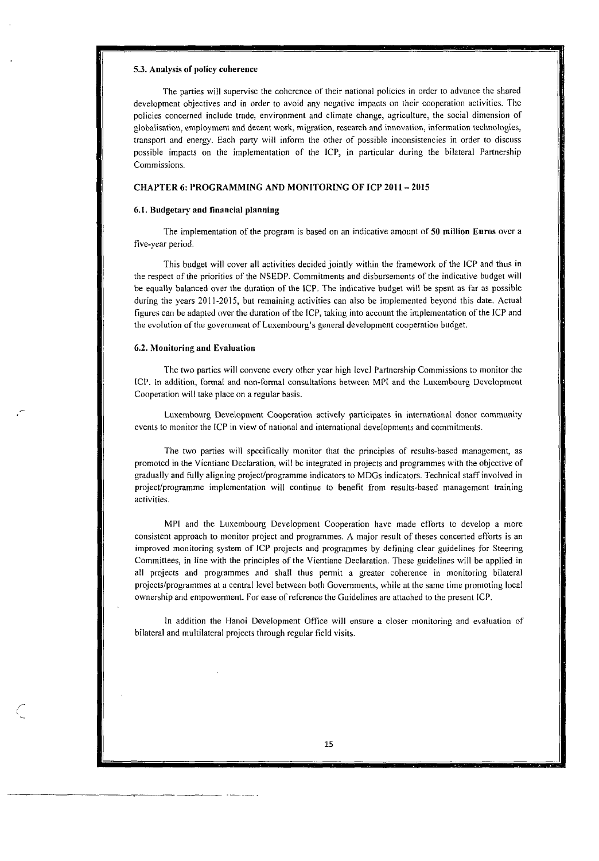#### **5.3.** Analysis **of** policy coherence

The parties will supervise the coherence of their national policies in order to advance the shared developmcnt objectives and in order to avoid any negative impacts on their cooperation activities. The policies concerned include trade, environmeni and cliniate change, agriculture, the social dimension of globalisation, employment and decent work, migration, research and innovation, information technologies, transport and energy. Each party will inform the other of possible inconsistencies in order to discuss possible impacts on the implementation of the ICP, in particular during the bilateral Partnership Commissions.

## **CHAPTER 6: PROGRAMMING AND MONITORING OF ICP 2011 - 2015**

### **6.1.** Budgetary and financial **planning**

The implementation of the program **is** hased on an indicative amount of **50** million Enros over a five-year period.

This hudgei will cover **al1** activities decided jointly witliin the framework of the ICP and thus in the respect of the priorities of the NSEDP. Commitments and disbursemcnts of the indicative budget will be equally halanced over the duration of the ICP. The indicative budget will be spent as far as possible during the years 2011-2015, but remaining activities can also be implemented beyond this date. Actual figures can he adapted over the duration of the ICP, taking into account the implementation of the ICP and the evolution of the government of Luxembourg's general developmcnt cooperation budget.

#### **6.2.** Monituring **and** Evduation

The **hvo** parties will convene evcry other year high level Partnership Commissions to monitor the ICP. In addition, formal and non-formal consultations between MPI and the Luxembourg Development Cooperation will take place on a regular hasis.

Luxembourg Development Cooperation actively participates in international donor community events to monitor the ICP in view of national and international developments and commitments.

The two parties will specifically monitor that the principles of results-based management, as promoted in the Vientiane Declaration, will be integrated in projects and programmes with the objective of gradually and fully aligning projectlprogramme indicators **to** MDGs indicators. Technical staff involved in project/programme implementation will continue to benefit from results-based management training activities.

MPI and the Luxembourg Development Cooperation have made efforts to dcvelop a more consistent approach to monitor project and programmes. A major result of theses concerted efforts is an improved monitoring system of ICP projects and programmes hy defining clear guidelines for Steering Committees, in line with the principles of the Vientiane Declaration. These guidelines will he applied in **al1** projects and programmes and sliall thus permit a grcater coherence in monitoring hilateral projects/programmes at a central level between both Governments, while at the same time promoting local ownership and empowerment. For ease of reference the Guidelines are attached to the present ICP.

In addition the Hanoi Development Office will ensure a closer monitoring and evaluation of hilateral and multilateral projects through regular field visits.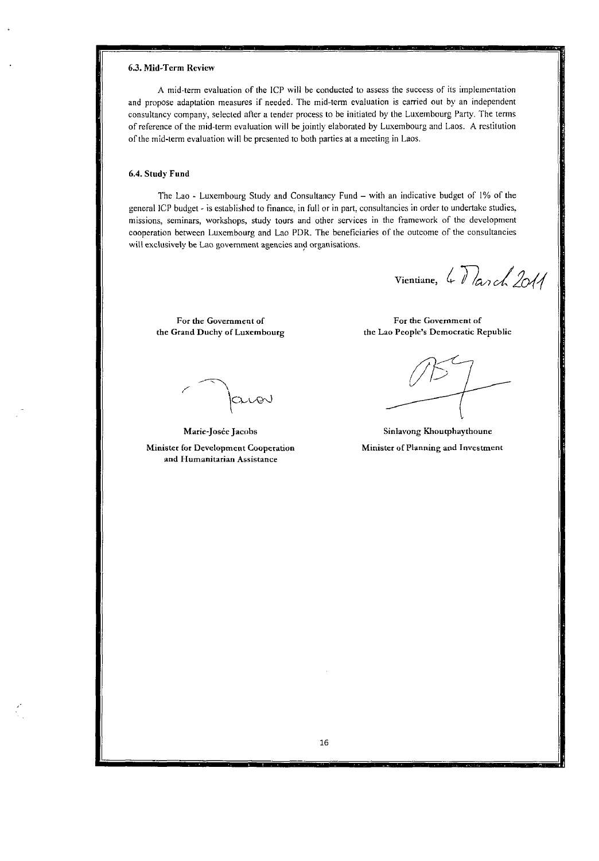## *6.3.* **Mid-Term Revien**

**A** mid-term evaluation of **the** ICP will be conducted to assess the success of its impleinentation and propose adaptation measures if needed. The mid-term evaluation is carried out by an independent consultancy Company, selected aficr a tender process to be initiated by the Luxembourg Party. The terins of reference of the mid-term evaluation will be joiiitly eiaborated by Luxembourg and Laos. **A** restitution of the mid-term evaluation will be presented to both parties at a meeting in Laos.

## **6.4. Study Fund**

The Lao - Luxembourg Study and Consultancy Fund - witli an indicative budget of **1%** of the general ICP budget ~ is establislied **ta** finance, in full **or** in part, consultancies in order to undertake studies. missions, seminars, workshops, study tours and other services in the framework of the development cooperation between Luxembourg and Lao PDR. The beneficiaries of the outcome of the consultancies will exclusively be Lao government agencies and organisations.

Vientiane, 4 March 2011

For the Government of **the Grand Duchy of Luxembourg** 

avov

**Marie-Joséc Jacohs Minister for Development Cooperation and Humanitarian Assistance** 

**For the Govemment of the Lao People's Democrdtic Republic** 

**Sinlavong Khoutphaythoune Minister of Planning and Investment**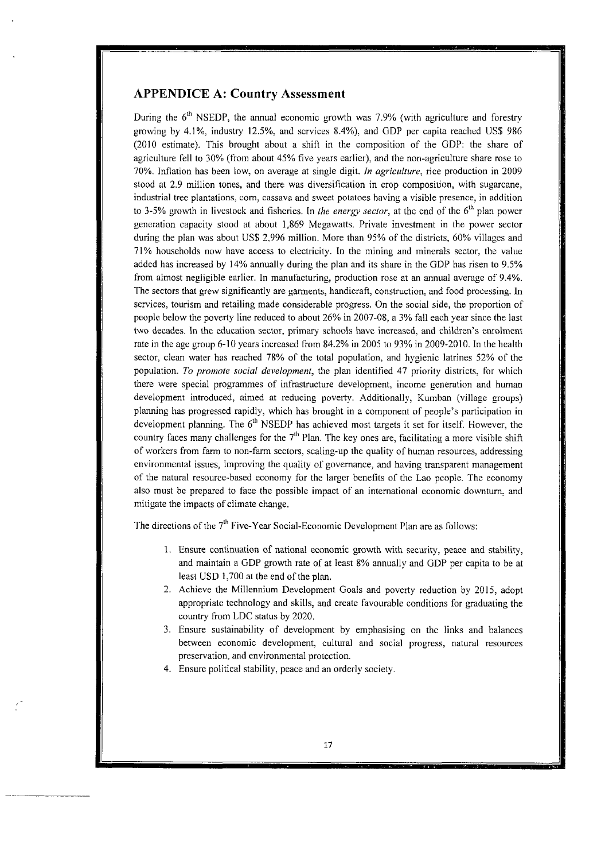## **APPENDICE A: Country Assessment**

During the  $6<sup>th</sup>$  NSEDP, the annual economic growth was 7.9% (with agriculture and forestry growing by 4.1%, industry 12.5%, and scrvices 8.4%), and GDP per capita reached US\$ 986 (2010 estimate). This brought about a shift in the composition of' the GDP: the share of agriculture fell to 30% (from about 45% five years earlier), and the non-agriculture share rose to 70%. Inflation has been low' on average at single digit. *In ugriculfure:* rice production in 2009 stood at 2.9 million tones, and there was diversification in crop composition, with sugarcane, industrial tree plantations, corn, cassava and sweet potatoes having a visible presence, in addition to 3-5% growth in livestock and fisheries. in *ihe energu secior,* at the end of the 6'" plan power generation capacity stood at about 1,869 Megawatts. Private investment in the power sector during the plan was about US\$ 2,996 million. More than 95% of the districts, 60% villages and 71% households now have access to electricity. in the mining and minerais sector, the value addcd has increased by 14% annually during the plan and its share in the GDP has risen to 9.5% from almost negligible earlicr. In manufacturing, production rose at an annual average of 9.4%. The sectors that grew significantly are garments, handicraft; construction, and food processing. In services, tourism and retailing made considerable progress. On the social side, the proportion of people below the poverty line reduced to about 26% in 2007-08, a 3% fail each year since the last two decades. In the education sector: primary schools have increased, and children's enrolment rate in the age group 6-10 years increased from 84.2% in 2005 to 93% in 2009-2010. In the health sector, clean water has reached **78%** of the total population, and hygienic latrines 52% of the population. *7'0 promoie sociui developmeni,* the plan identilied 47 priority districts, for which there were special programmes of infrastructure development, income generation and human development introduced, aimed at reducing poverty. Additionally, Kumban (village groups) planning has progressed rapidly, which has brought in a component of people's participation in development planning. The  $6<sup>th</sup>$  NSEDP has achieved most targets it set for itself. However, the country faces many challenges for the 7<sup>th</sup> Plan. The key ones are, facilitating a more visible shift of workers from farm to non-farm sectors, scaling-up the quality of human resources, addressing environmental issues, improving the quality of governance, and having transparent management of the natural resource-based economy for the larger benefits of the Lao people. The economy also must be prepared to face the possible impact of an international economic downturn, and mitigate the impacts of climate change.

The directions of the  $7<sup>th</sup>$  Five-Year Social-Economic Development Plan are as follows:

- 1. Ensure continuation of national economic growth with security, peace and stability, and maintain a GDP growth rate of at least 8% annually and GDP per capita to be at least USD 1,700 at the end of the plan.
- 2. Achieve the Millennium Development Goals and poverty reduction by 2015, adopt appropriate technology and skills, and create favourable conditions for graduating the country from LDC status by 2020.
- 3. Ensure sustainability of development by emphasising on the links and balances between economic development, cultural and social progress, natural resowces preservation, and environmental protection.
- 4. Ensure political stability, peace and an orderly society.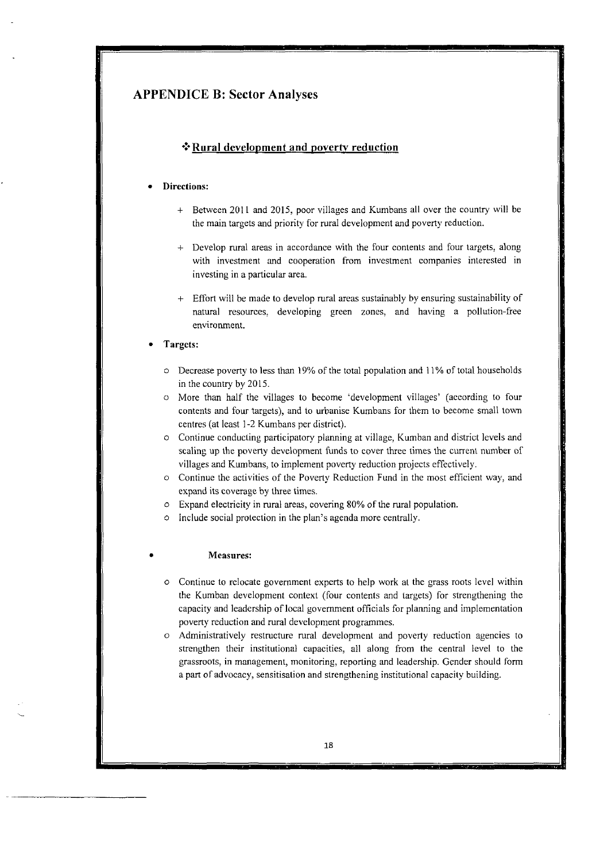## **APPENDICE B: Sector Analyses**

## **\*3Rural development and povertv reduction**

## **Directions:**

- + Between 2011 and 2015, poor villages and Kumbans all over the country will be the main targets and priority for rural development and poverty reduction.
- + Develop rural areas in accordancc with the four contents and four targetç, dong with investment and cooperation from investment companies intercsted in investing in a particular area.
- + Effort will bc made to develop rural areas sustainably hy ensuring sustainability of natural resources, developing green zones, and having a pollution-free environment.

## **Targets:**

- $\circ$  Decrease poverty to less than 19% of the total population and 11% of total households in the country by 2015.
- *O* More than half the villages to become 'development villages' (according to four contents and four targets), and to urbanise Kumbans for them to beeome small town centres (at least 1-3 Kumbans per district).
- O Continue conducting participatory planning at village, Kumban and district lcvels and scaling up the poveny development funds to cover three times the current number of villages and Kumbans, to implement poverty reduction projects effectivcly.
- *<sup>O</sup>*Continue the activitics of the Povcny Reduction Fund in the most efficient way, and expand its coverage by three timcs.
- <sup>O</sup>Expand electricity in rural areas, covering 80% of the rural population.
- *O* Include social protection in the plan's agenda more centrally.

## *0* **Measures:**

- <sup>O</sup>Continue to relocate governmeni experts to help work ai the grass roots level within the Kumban development context (four contents and iargcts) for sirengthening the capacity and leadcrship of local govcrnment officials for planning and implementation poverty reduction and rural development programmes.
- *O* Administratively restructure rural development and poverty reduction agencies to strengthen their institutional capacities, al1 dong from the central level to the grassroots, in management, monitoring, reporting and leadership. Gender should form a part of advocaey, sensitisation and strengthening institutional capacity building.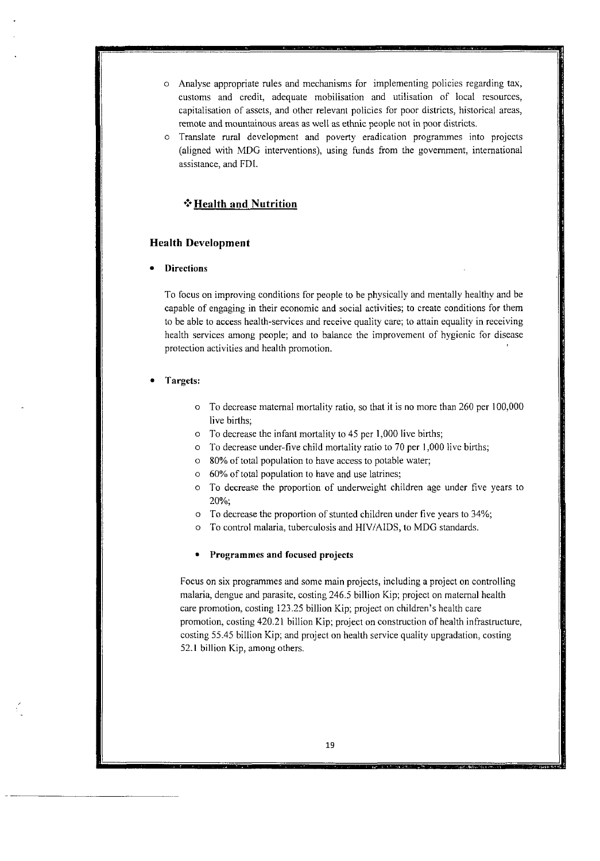- $\circ$  Analyse appropriate rules and mechanisms for implementing policies regarding tax. customs and credit, adequate mobilisation and utilisation of local resources; capitalisation of assets, and other relevant policies for poor districts, hisiorical areas; remote and mountainous areas as well as ethnic people not in poor districts.
- *<sup>O</sup>*Translate rural development and poverty eradication programmes into projects (aligned with MDG interventions), using funds from the government, international assistance, and FDI.

## **f Health and Nutrition**

## **Health Development**

## **Directions**

To focus on improving conditions for people to be physically and mentally healthy and be capable of engaging in their economic and social activities; to create conditions for them to be able to access health-services and receive quaiity care; to attain equality in receiving health services among people; and to balance the improvement of hygienic for disease protection activities and health promotion.

#### **Targets:**

- <sup>O</sup>To decrease maternal mortality ratio, so that it is no more than 260 per 100,000 live births;
- <sup>O</sup>To decrease the infant mortality to 45 pcr 1,000 live births;
- <sup>O</sup>To decrease under-five child mortality ratio to 70 per 1;OOO livc births;
- <sup>O</sup>80% of total population to have access to potable water;
- <sup>O</sup>60% of total population to have and use latrines;
- <sup>O</sup>To decrease the proportion of undenveight children age under five years to 20%;
- To decrease the proportion of stuntcd children under five years to 34%; O
- To control malaria, tuberculosis and HIV/AIDS, to MDG standards. O

#### **Programmes and focused projects**

Focus on six programmes and somc main projects, including a project on controlling malaria, dengue and parasite, costing 246.5 billion Kip; project on matemal health care promotion, costing 123.25 billion Kip; project on children's health care promotion, costing 420.2 **1** billion Kip; project on construction of health infrastructure, costing 55.45 billion Kip; and project on health service quality upgradation, costing 52.1 billion Kip, among others.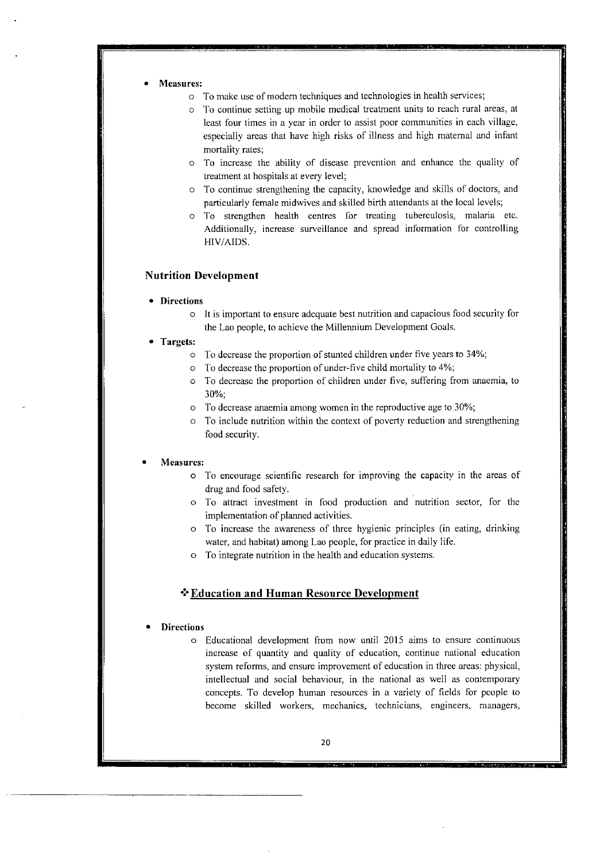- **Measures:** 
	- <sup>O</sup>To make use of modern techniques and technologies in health services;
	- To continue setting up mobile medical treatment units to reach rural areas, at least four times in a year in order to assist poor communities in each village, especially areas that have high risks of illness and high matemal and infant mortality rates;
	- To increase the ability of disease prevention and enhance the quality of O treatment at hospitals at every level;
	- <sup>O</sup>To continue strengthening the capacity, knowledge and skilis of doctors, and particularly female midwives and skilled birth attendants at the local levels;
	- <sup>O</sup>To strengthen health centrcs for treating tuberculosis. malaria etc. Additionally, increase surveillance and spread information for controlling HIV/AIDS.

## **Nutrition Development**

- **Directions** 
	- <sup>O</sup>It is important to ensure adequate best nutrition and capacious food security for the Lao people, to achicve the Millennium Development Goals.
- **Targets:** 
	- <sup>O</sup>To decrease the proportion of stunted children under five years to 34%;
	- $\circ$  To decrease the proportion of under-five child mortality to 4%;
	- o To decrease the proportion of children under five, suffering from anaemia, to 30%;
	- <sup>O</sup>To decrease anaemia among women in the reproductive age to 30%;
	- <sup>O</sup>To include nutrition within the context of poverty reduction and strengthening food security.

### **Measures:**

- <sup>O</sup>To encourage scientific research for improving the capacity in the areas of drug and food safety.
- <sup>O</sup>To attract investment in food production and nutrition sector, for the implementation of planned activities.
- <sup>O</sup>To increase the awareness of three hygienic principles (in eating, drinking water, and habitat) among Lao people, for practice in daily life.
- <sup>O</sup>To integrate nutrition in the heaith and education systems.

## **\*:\*Education and Human Resource Development**

## **Directions**

<sup>O</sup>Educational development from now until 2015 aims to ensure continuous increase of quantity and quality of education, continue national education system reforms, and ensure improvement of education in three areas: physical; intellectual and social behaviour, in the national as well as contemporary concepts. To develop human resources in a variety of fields for pcople to become skilled **workers,** mechanics, technicians, engineers, managers,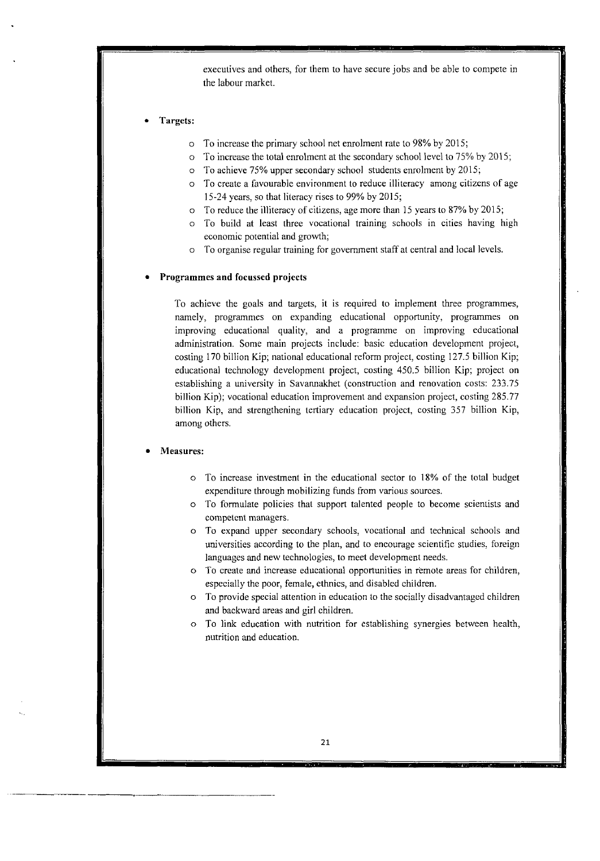executives and others, for them to have secure jobs and be able to compete in the labour market.

### **Targets:**

- O To increase the primary school net enrolment rate to 98% by 2015;
- <sup>O</sup>To increase the total enrolment at the secondary school level to 75% by 201 *5;*
- <sup>O</sup>To achieve 75% upper secondary school students enrolment by 2015;
- To create a favourable environment to reduce illiteracy among citizens of age 15-24 ycars, ço that literacy rises to 99% by 2015;
- <sup>O</sup>To reduce the illiteracy of citizens- age more than 15 years to 87% by 2015;
- <sup>O</sup>To build at least three vocational training schools in cities having high economic potential and growth;
- To organise regular training for government staff at central and local levels.

## **Programmes and focussed projects**

To achieve the goals and targets, it is required to implement three programmes, namely, programmes on expanding educational opportunity, programmes on improving educational quality, and a programme on improving educational administration. Some main projects include: basic education development project, costing 170 billion Kip; national educational rcform project, costing 127.5 billion Kip; educational technology development project, costing 450.5 billion Kip; project on establishing a university in Savannakhet (construction and renovation costs: 233.75 billion Kip); vocational education improvement and expansion project, costing 285.77 billion Kip, and strengthening tertiary education project, costing 357 billion Kip, among others.

## **Measures:**

- *O* To increase investment in the educational sector to 18% of the total budget expenditure through mobilizing funds from various sources.
- *O* To formulate policies that support talented people to become scientists and competcnt managers.
- <sup>O</sup>To expand upper secondary schools, vocational and technical schools and universities according to the plan, and to encourage scientific studies, foreign languages and new technologies, to meet development needs.
- *O* To create and increase educational opportunities in remote areas for children, espccially the poor, female, cthnics, and disablcd children.
- To provide special attention in education to the socially disadvantaged chiidren and backward areas and girl children. O
- <sup>O</sup>To link education witb nutrition for establishing synergies between health, nutrition and education.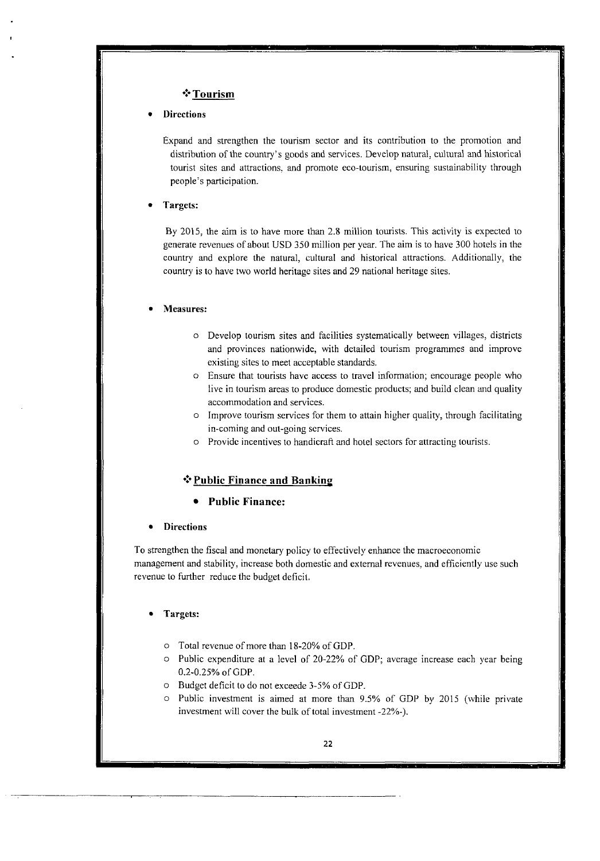## $*$  Tourism

## **Directions**

Expand and strengthen the tourism sector and its contribution to the promotion and distribution of the country's goods and services. Develop natural, cultural and historical tourist sites and attractions. and promote eco-iourism, ensuring sustainability through pcople's participation.

## **Targets:**

By 2015, the aim is to have more than 2.8 million tourists. This activity is expected to generate revenues of about USD 350 million per year. The aim is to have 300 hotels in the country and explore the natural, cultural and historical attractions. Additionally, the country is to have two world heritagc sites and 29 national heritage sites.

#### **Measures:**

- O Develop tourism sites and facilities systematically between villages, districts and provinces nationwide, with dctailed tourism programmes and improve exisiing sites to meet acceptable standards.
- O Ensure that tourists have access to travel information; encourage people who live in tourism areas to produce domestic products; and build clean and quality accommodation and services.
- lmprove tourism services for them to attain higher quality, through facilitating O in-coming and out-going scrvices.
- Providc incentives to handicrafi and hoiel sectors for attracting tourists. O

## **\*** Public Finance and Banking

## **Public Finance:**

## **Directions**

To strengthen the fiscal and monetary policy to effectively enhance the macroeconomic management and stability, increase both domestic and extemal revenues: and efficiently use such revenue to further reduce the budget deficit.

## **Targets:**

- <sup>O</sup>Total revenue of more than 18-20% of GDP.
- <sup>O</sup>Public expenditure at a lcvel of 20.22% of GDP; average increase each year being 0.2-0.25% of GDP.
- Budget deficit to do not exceede 3-5% of GDP. O
- $\circ$  Public investment is aimed at more than 9.5% of GDP by 2015 (while private investment will cover the bulk of total investment -22%-).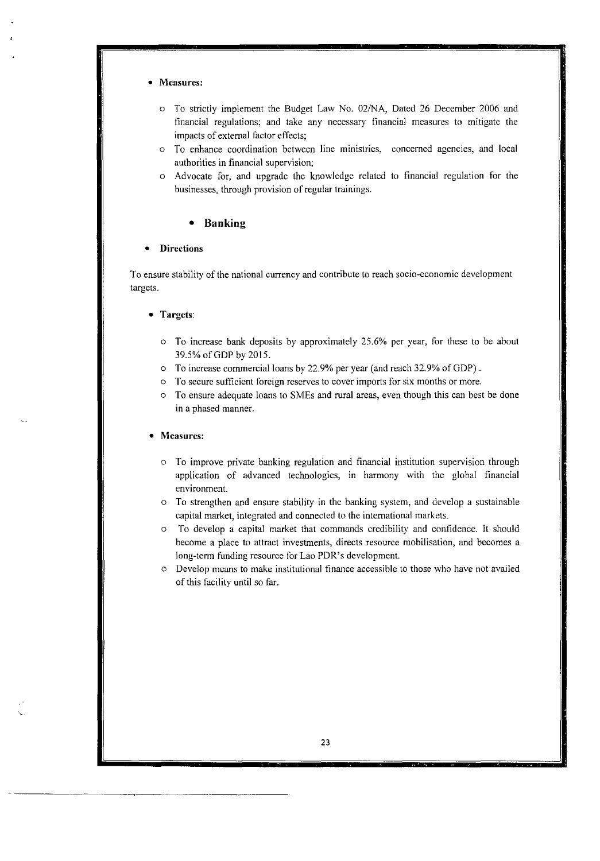## **Measurcs:**

- <sup>O</sup>To strictly irnplernent the Budget Law No. 02MA, Dated 26 December 2006 and financial regulations; and take any necessary financial measures to mitigate the impacts of external factor effects;
- <sup>O</sup>To enhance coordination between line minisiries, concerned agencies, and local authorities in financial supervision;
- <sup>O</sup>Advocate for, and upgrddc the knowledge relaied to financial regulation for the businesses, through provision of regular trainings.

## **Banking**

#### **Directions**   $\bullet$

To ensure stability of the national currency and contribute to reach socio-economic development targets.

#### **Targcts:**

- $\circ$  To increase bank deposits by approximately 25.6% per year, for these to be about 39.5% of GDP by 2015.
- <sup>O</sup>To increase commercial loans by 22.9% per year (and reach 32.9% of GDP) .
- $\circ$  To secure sufficient foreign reserves to cover imports for six months or more.
- $\circ$  To ensure adequate loans to SMEs and rural areas, even though this can best be done in a phased manner.

#### **Measures:**

- $\circ$  To improve private banking regulation and financial institution supervision through application of advanced technologies, in harmony with the global financial environment.
- To strengthen and ensure stability in the hanking system, and develop a sustainable capital market, integrated and connecied to the international markets. O
- To develop a capital market that commands credibility and confidence. Il should become a place to attract investments, directs resource mobilisation, and becornes a long-term funding resource for Lao PDR's development. O
- o Develop means to make institutional finance accessible to those who have not availed of this fàciliiy until so far.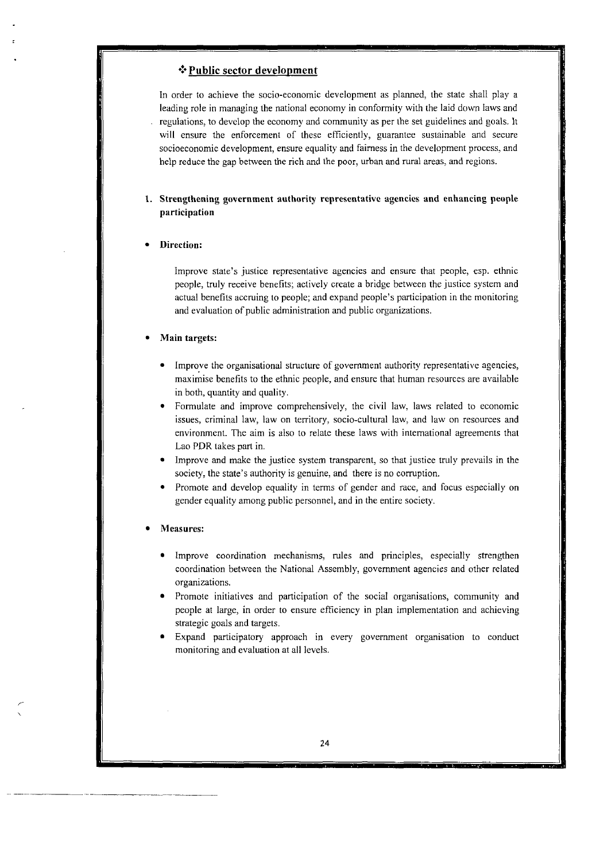## **+:\*Public sector development**

In order to achieve the socio-economic development as planned, the state shall play a leading role in managing the national economy in conformity with the laid down laws and regulations, to develop the economy and cornmunity as per the set guidelines and goals. It will ensure the enforcement of these efficiently, guarantee sustainable and secure socioeconomic development, ensure equality and fairness in the development process: and help reduce the gap between the rich and the poor, urban and rural areas, and regions.

## **1. Strengthcning govcrnment authority rcprcscntative agencies and enhancing peuple participation**

#### **Direction:**

Improve state's justice representative agencies and ensure that people, esp. ethnic people, truly receive benefits; actively create a bridge between the justice system and actual benefits accruing to people; and expand people's participation in the monitoring and evaluation of public administration and public organizations.

## **Main targets:**

- Improve the organisational structure of government authority representative agencies, maximise benefits to the ethnic people, and ensure that human resources are available in both, quantity and quality.
- Formulate and improve comprehensively: the civil **law,** laws related to economic issues, criminal law, law on territory, socio-cultural law, and Iaw on resources and environmcnt. The aim is also to relate these laws with international agreements that Lao PDR **takes** pari in.
- Improve and *make* the justice system transparent, so that justice truly prevails in the society, the state's authority is genuine, and there is no corruption.
- Promote and develop equality in terms of gender and race, and focus especially on gender equality among public personnel, and in the entire Society.

### **Measures:**

- Improve coordination mechanisms, rules and principles, especially strengthen coordination between the National Assembly, government agencies and other rclated organizations.
- Promote initiatives and participation of the social organisations, community and people at large, in order to ensure efficiency in pian implementation and achieving strategic goals and targets.
- Expand participatory approach in every government organisation to conduct monitoring and evaluation at al1 levels.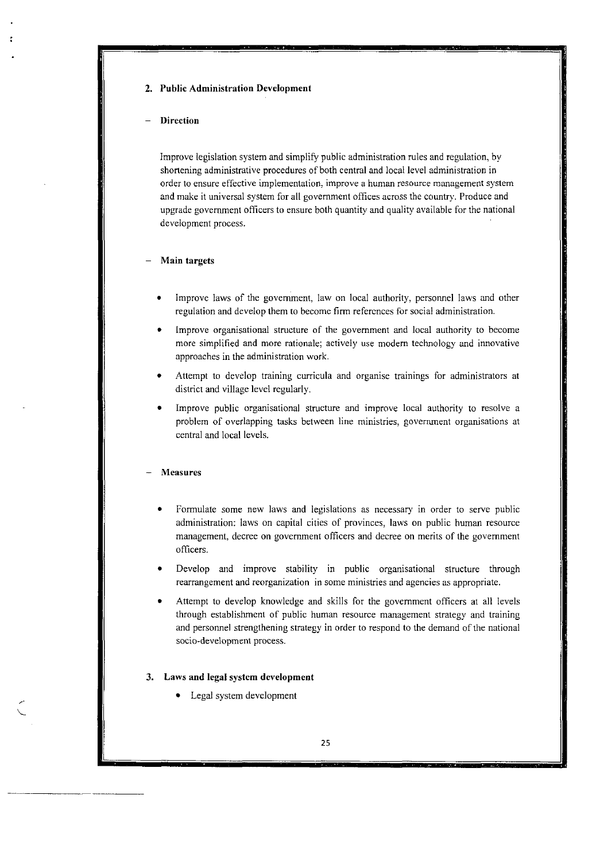## **2. Public Administration Development**

### - **Direction**

Improve iegisiation system and simpiify public administration rules and reguiation, by shortening administrative procedures of both central and local level administration in order to ensure effective implementation, improve a human resource management system and make it universal system for al1 govemment offices across the country. Produce and upgrade govemment officers to ensure both quantity and quality available for the national development process.

#### - **Main targets**

- Improve laws of the govemment, law on local authority, personnel laws and other regulation and develop them to become firm references for social administration.
- Improve organisational structure of the government and local authority to become more simplified and more rationale; actively use modern technology and innovative approaches in the administration **work.**
- Attempt to develop training curricula and organise trainings for administrators at district and village level regularly.
- Improve public organisational structure and improve local authority to resolve a problem of overlapping tasks between line ministries, government organisations at central and local levels.

#### - **Measures**

- Formulate some new laws and legislations as necessary in order to serve public administration: laws on capital cities of provinces, laws on public human resource management, decree on government officers and decree on merits of the government oficers.
- Develop and improve stability in public organisational structure through rearrangement and reorganization in some ministries and agencies as appropriate.
- Attempt to develop knowledge and skills for the government officers at all levels through establishment of public human resource management strategy and training and personnel strengthening strategy in order to respond to the demand of the national socio-development process.

#### **3. Laws and legal system development**

• Legal system development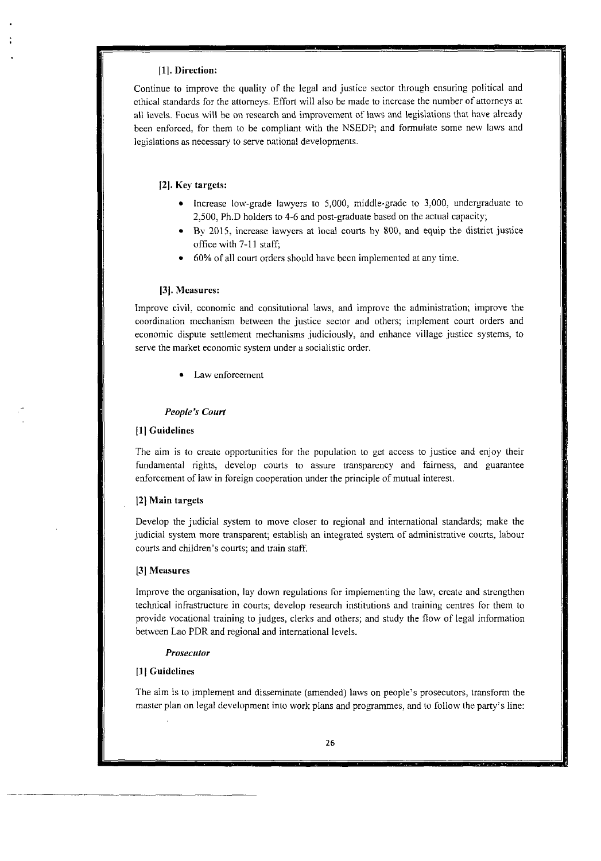## **Il]. Direction:**

Continue to improve the quaiity of the legal and justice sector through ensuring political and cthiçal standards for the attorneys. Effort will also be made to incrcase the number of attorneys at al1 levels. Focus will be on research and improvement of laws and legislations that have alrcady been enforced, for them to be compliant with the NSEDP; and formulate some new laws and legislations as necessary to serve national developments.

## **[2]. Key targets:**

- $\bullet$  Increase low-grade lawyers to 5,000, middle-grade to 3,000, undergraduate to 2,500, Ph.D holders to 4-6 and post-graduate based on the actual capacity;
- By 2015, increase lawyers at local courts by 800, and equip the district justice office with 7-11 staff;
- 60% of al1 couri orders should have heen implemented at any time.

#### **131. Measures:**

Improve civil: economic and consitutional laws, and improve the administration; improve the coordination mechanism between the justice sector and others; implement couri orders and economic dispute settlement mechanisms judiciously, and enhance village justice systems, to serve the market economic system under a socialistic ordcr.

Law enforcement

### *People's Court*

### **[il Guidelines**

The aim is to create opportunities for the population to get access to justice and enjoy their fundamental rights, develop courts to assure transparency and fairness, and guarantee enforcement of iaw in foreign cooperation under the principle of mutual interest.

#### **121 Main targets**

Develop the judicial system to move closer to regional and international standards; make the judicial system more transparent; establish an integrated system of administrative courts, labour courts and children's courts; and train staff.

#### **[3] Measures**

Improve the organisation, lay down regulations for implementing the law, create and strengthen technical infrastructure in courts; develop research institutions and training centres For them to provide vocational training to judges, cierks and others; and study the flow of legal information between Lao PDR and regional and international leveis.

#### *Prosecutor*

### [ **11 Guidelines**

The aim **is** to implement and disseminatc (amended) laws on people's prosecutors, transform the master plan on legal development into work plans and programmes, and to follow the party's line: